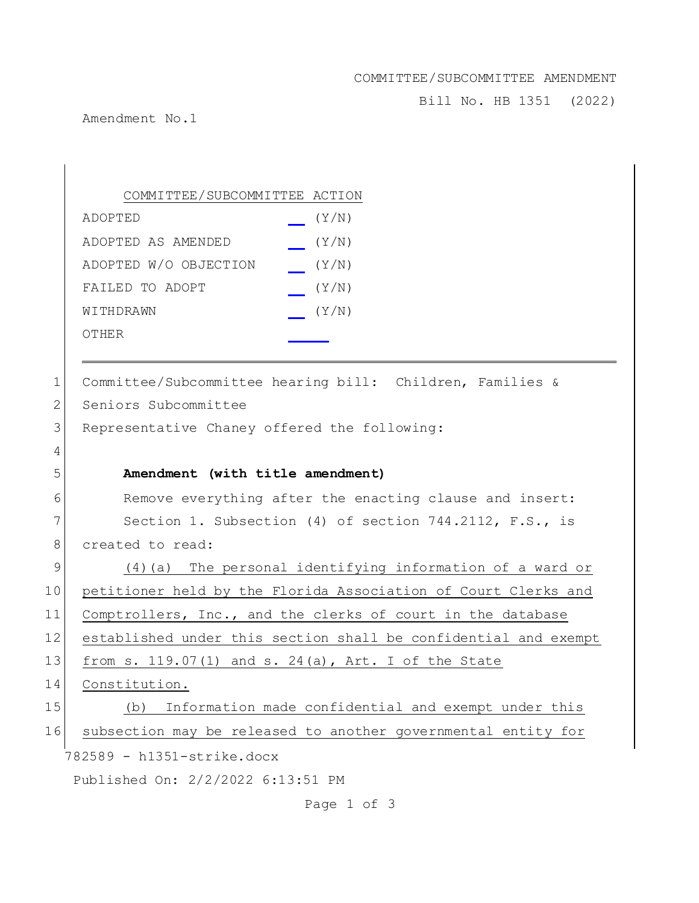## COMMITTEE/SUBCOMMITTEE AMENDMENT

Bill No. HB 1351 (2022)

Amendment No.1

|    | COMMITTEE/SUBCOMMITTEE ACTION                                   |
|----|-----------------------------------------------------------------|
|    | ADOPTED<br>(Y/N)                                                |
|    | (Y/N)<br>ADOPTED AS AMENDED                                     |
|    | ADOPTED W/O OBJECTION<br>(Y/N)                                  |
|    | FAILED TO ADOPT<br>(Y/N)                                        |
|    | (Y/N)<br>WITHDRAWN                                              |
|    | OTHER                                                           |
|    |                                                                 |
| 1  | Committee/Subcommittee hearing bill: Children, Families &       |
| 2  | Seniors Subcommittee                                            |
| 3  | Representative Chaney offered the following:                    |
| 4  |                                                                 |
| 5  | Amendment (with title amendment)                                |
| 6  | Remove everything after the enacting clause and insert:         |
| 7  | Section 1. Subsection (4) of section 744.2112, F.S., is         |
| 8  | created to read:                                                |
| 9  | $(4)$ (a) The personal identifying information of a ward or     |
| 10 | petitioner held by the Florida Association of Court Clerks and  |
| 11 | Comptrollers, Inc., and the clerks of court in the database     |
| 12 | established under this section shall be confidential and exempt |
| 13 | from s. $119.07(1)$ and s. $24(a)$ , Art. I of the State        |
| 14 | Constitution.                                                   |
| 15 | Information made confidential and exempt under this<br>(b)      |
| 16 | subsection may be released to another governmental entity for   |
|    | 782589 - h1351-strike.docx                                      |
|    | Published On: 2/2/2022 6:13:51 PM                               |

Page 1 of 3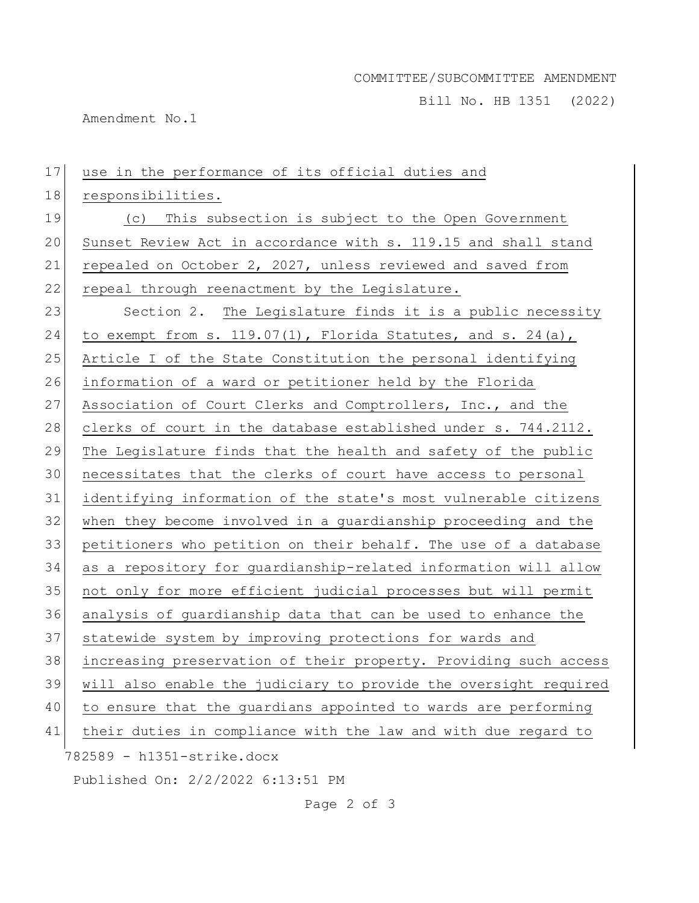Bill No. HB 1351 (2022)

Amendment No.1

| 17 | use in the performance of its official duties and                |
|----|------------------------------------------------------------------|
| 18 | responsibilities.                                                |
| 19 | (c) This subsection is subject to the Open Government            |
| 20 | Sunset Review Act in accordance with s. 119.15 and shall stand   |
| 21 | repealed on October 2, 2027, unless reviewed and saved from      |
| 22 | repeal through reenactment by the Legislature.                   |
| 23 | Section 2. The Legislature finds it is a public necessity        |
| 24 | to exempt from s. $119.07(1)$ , Florida Statutes, and s. 24(a),  |
| 25 | Article I of the State Constitution the personal identifying     |
| 26 | information of a ward or petitioner held by the Florida          |
| 27 | Association of Court Clerks and Comptrollers, Inc., and the      |
| 28 | clerks of court in the database established under s. 744.2112.   |
| 29 | The Legislature finds that the health and safety of the public   |
| 30 | necessitates that the clerks of court have access to personal    |
| 31 | identifying information of the state's most vulnerable citizens  |
| 32 | when they become involved in a guardianship proceeding and the   |
| 33 | petitioners who petition on their behalf. The use of a database  |
| 34 | as a repository for guardianship-related information will allow  |
| 35 | not only for more efficient judicial processes but will permit   |
| 36 | analysis of guardianship data that can be used to enhance the    |
| 37 | statewide system by improving protections for wards and          |
| 38 | increasing preservation of their property. Providing such access |
| 39 | will also enable the judiciary to provide the oversight required |
| 40 | to ensure that the guardians appointed to wards are performing   |
| 41 | their duties in compliance with the law and with due regard to   |
|    | 782589 - h1351-strike.docx                                       |
|    | Published On: 2/2/2022 6:13:51 PM                                |

Page 2 of 3